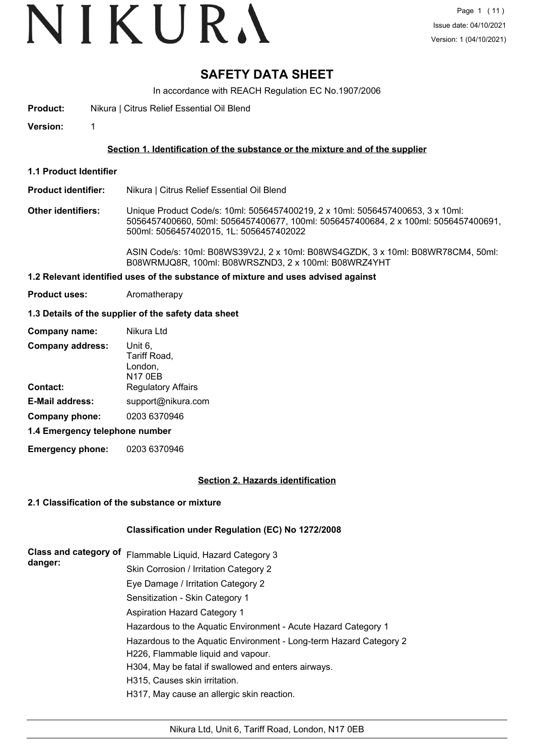# VIKURA

# **SAFETY DATA SHEET**

In accordance with REACH Regulation EC No.1907/2006

**Product:** Nikura | Citrus Relief Essential Oil Blend

**Version:** 1

#### **Section 1. Identification of the substance or the mixture and of the supplier**

- **1.1 Product Identifier**
- **Product identifier:** Nikura | Citrus Relief Essential Oil Blend
- **Other identifiers:** Unique Product Code/s: 10ml: 5056457400219, 2 x 10ml: 5056457400653, 3 x 10ml: 5056457400660, 50ml: 5056457400677, 100ml: 5056457400684, 2 x 100ml: 5056457400691, 500ml: 5056457402015, 1L: 5056457402022

ASIN Code/s: 10ml: B08WS39V2J, 2 x 10ml: B08WS4GZDK, 3 x 10ml: B08WR78CM4, 50ml: B08WRMJQ8R, 100ml: B08WRSZND3, 2 x 100ml: B08WRZ4YHT

#### **1.2 Relevant identified uses of the substance of mixture and uses advised against**

**Product uses:** Aromatherapy

#### **1.3 Details of the supplier of the safety data sheet**

| Company name:                  | Nikura Ltd                                           |  |  |
|--------------------------------|------------------------------------------------------|--|--|
| <b>Company address:</b>        | Unit 6,<br>Tariff Road,<br>London,<br><b>N17 0EB</b> |  |  |
| Contact:                       | <b>Regulatory Affairs</b>                            |  |  |
| <b>E-Mail address:</b>         | support@nikura.com                                   |  |  |
| Company phone:                 | 0203 6370946                                         |  |  |
| 1.4 Emergency telephone number |                                                      |  |  |

**Emergency phone:** 0203 6370946

#### **Section 2. Hazards identification**

#### **2.1 Classification of the substance or mixture**

#### **Classification under Regulation (EC) No 1272/2008**

| Class and category of<br>danger: | Flammable Liquid, Hazard Category 3                                                                      |
|----------------------------------|----------------------------------------------------------------------------------------------------------|
|                                  | Skin Corrosion / Irritation Category 2                                                                   |
|                                  | Eye Damage / Irritation Category 2                                                                       |
|                                  | Sensitization - Skin Category 1                                                                          |
|                                  | <b>Aspiration Hazard Category 1</b>                                                                      |
|                                  | Hazardous to the Aquatic Environment - Acute Hazard Category 1                                           |
|                                  | Hazardous to the Aquatic Environment - Long-term Hazard Category 2<br>H226, Flammable liquid and vapour. |
|                                  | H304, May be fatal if swallowed and enters airways.                                                      |
|                                  | H315, Causes skin irritation.                                                                            |
|                                  | H317, May cause an allergic skin reaction.                                                               |
|                                  |                                                                                                          |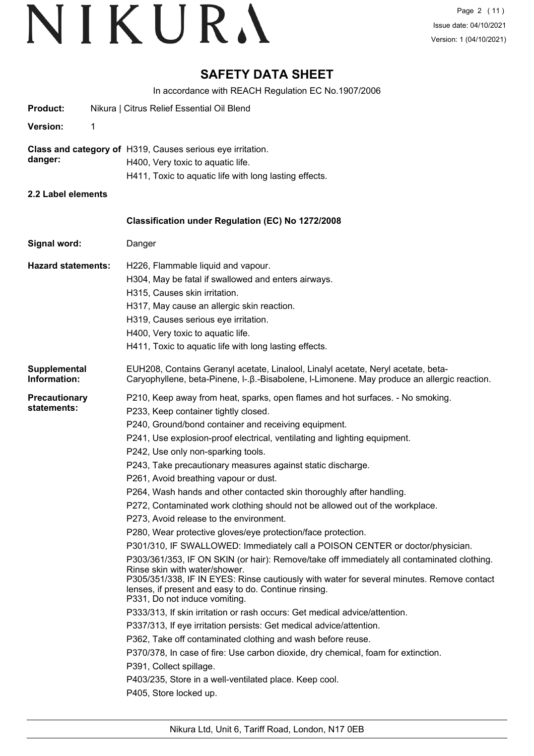# **SAFETY DATA SHEET**

In accordance with REACH Regulation EC No.1907/2006

| <b>Product:</b>                     |   | Nikura   Citrus Relief Essential Oil Blend                                                                                                                                                                                                                                                                                                                                                                                                                                                                                                                                                                                                                                                                                                                                                                                                                                                                                                                                                                                                                                                                                                                                                                                                                                                                                                                                                                                                                                                                 |
|-------------------------------------|---|------------------------------------------------------------------------------------------------------------------------------------------------------------------------------------------------------------------------------------------------------------------------------------------------------------------------------------------------------------------------------------------------------------------------------------------------------------------------------------------------------------------------------------------------------------------------------------------------------------------------------------------------------------------------------------------------------------------------------------------------------------------------------------------------------------------------------------------------------------------------------------------------------------------------------------------------------------------------------------------------------------------------------------------------------------------------------------------------------------------------------------------------------------------------------------------------------------------------------------------------------------------------------------------------------------------------------------------------------------------------------------------------------------------------------------------------------------------------------------------------------------|
| <b>Version:</b>                     | 1 |                                                                                                                                                                                                                                                                                                                                                                                                                                                                                                                                                                                                                                                                                                                                                                                                                                                                                                                                                                                                                                                                                                                                                                                                                                                                                                                                                                                                                                                                                                            |
| danger:                             |   | Class and category of H319, Causes serious eye irritation.<br>H400, Very toxic to aquatic life.<br>H411, Toxic to aquatic life with long lasting effects.                                                                                                                                                                                                                                                                                                                                                                                                                                                                                                                                                                                                                                                                                                                                                                                                                                                                                                                                                                                                                                                                                                                                                                                                                                                                                                                                                  |
| 2.2 Label elements                  |   |                                                                                                                                                                                                                                                                                                                                                                                                                                                                                                                                                                                                                                                                                                                                                                                                                                                                                                                                                                                                                                                                                                                                                                                                                                                                                                                                                                                                                                                                                                            |
|                                     |   | Classification under Regulation (EC) No 1272/2008                                                                                                                                                                                                                                                                                                                                                                                                                                                                                                                                                                                                                                                                                                                                                                                                                                                                                                                                                                                                                                                                                                                                                                                                                                                                                                                                                                                                                                                          |
| Signal word:                        |   | Danger                                                                                                                                                                                                                                                                                                                                                                                                                                                                                                                                                                                                                                                                                                                                                                                                                                                                                                                                                                                                                                                                                                                                                                                                                                                                                                                                                                                                                                                                                                     |
| <b>Hazard statements:</b>           |   | H226, Flammable liquid and vapour.<br>H304, May be fatal if swallowed and enters airways.<br>H315, Causes skin irritation.<br>H317, May cause an allergic skin reaction.<br>H319, Causes serious eye irritation.<br>H400, Very toxic to aquatic life.<br>H411, Toxic to aquatic life with long lasting effects.                                                                                                                                                                                                                                                                                                                                                                                                                                                                                                                                                                                                                                                                                                                                                                                                                                                                                                                                                                                                                                                                                                                                                                                            |
| Supplemental<br>Information:        |   | EUH208, Contains Geranyl acetate, Linalool, Linalyl acetate, Neryl acetate, beta-<br>Caryophyllene, beta-Pinene, I-. B.-Bisabolene, I-Limonene. May produce an allergic reaction.                                                                                                                                                                                                                                                                                                                                                                                                                                                                                                                                                                                                                                                                                                                                                                                                                                                                                                                                                                                                                                                                                                                                                                                                                                                                                                                          |
| <b>Precautionary</b><br>statements: |   | P210, Keep away from heat, sparks, open flames and hot surfaces. - No smoking.<br>P233, Keep container tightly closed.<br>P240, Ground/bond container and receiving equipment.<br>P241, Use explosion-proof electrical, ventilating and lighting equipment.<br>P242, Use only non-sparking tools.<br>P243, Take precautionary measures against static discharge.<br>P261, Avoid breathing vapour or dust.<br>P264, Wash hands and other contacted skin thoroughly after handling.<br>P272, Contaminated work clothing should not be allowed out of the workplace.<br>P273, Avoid release to the environment.<br>P280, Wear protective gloves/eye protection/face protection.<br>P301/310, IF SWALLOWED: Immediately call a POISON CENTER or doctor/physician.<br>P303/361/353, IF ON SKIN (or hair): Remove/take off immediately all contaminated clothing.<br>Rinse skin with water/shower.<br>P305/351/338, IF IN EYES: Rinse cautiously with water for several minutes. Remove contact<br>lenses, if present and easy to do. Continue rinsing.<br>P331, Do not induce vomiting.<br>P333/313, If skin irritation or rash occurs: Get medical advice/attention.<br>P337/313, If eye irritation persists: Get medical advice/attention.<br>P362, Take off contaminated clothing and wash before reuse.<br>P370/378, In case of fire: Use carbon dioxide, dry chemical, foam for extinction.<br>P391, Collect spillage.<br>P403/235, Store in a well-ventilated place. Keep cool.<br>P405, Store locked up. |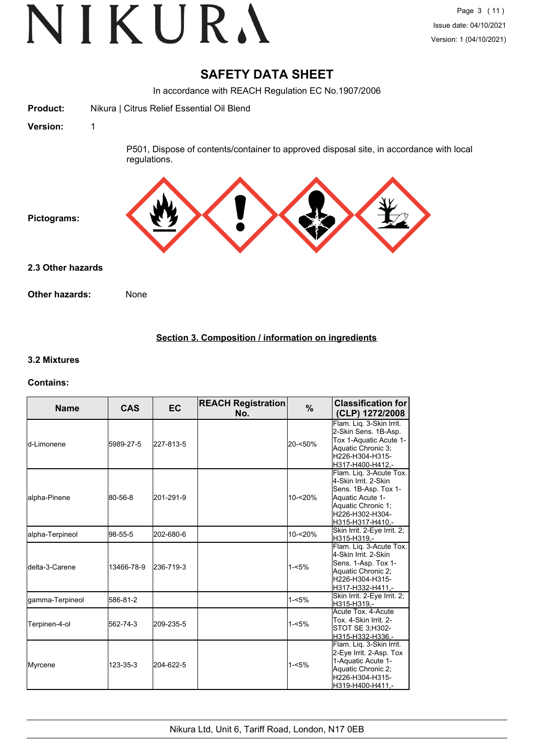# VIKURA

## **SAFETY DATA SHEET**

In accordance with REACH Regulation EC No.1907/2006



## **Section 3. Composition / information on ingredients**

#### **3.2 Mixtures**

#### **Contains:**

| <b>Name</b>     | <b>CAS</b> | <b>EC</b> | <b>REACH Registration</b><br>No. | $\%$       | <b>Classification for</b><br>(CLP) 1272/2008                                                                                                             |
|-----------------|------------|-----------|----------------------------------|------------|----------------------------------------------------------------------------------------------------------------------------------------------------------|
| ld-Limonene     | 5989-27-5  | 227-813-5 |                                  | 20-<50%    | Flam. Liq. 3-Skin Irrit.<br>2-Skin Sens. 1B-Asp.<br>Tox 1-Aquatic Acute 1-<br>Aquatic Chronic 3;<br>H226-H304-H315-<br>H317-H400-H412.-                  |
| alpha-Pinene    | 80-56-8    | 201-291-9 |                                  | $10 - 20%$ | Flam. Lig. 3-Acute Tox.<br>4-Skin Irrit. 2-Skin<br>Sens. 1B-Asp. Tox 1-<br>Aquatic Acute 1-<br>Aquatic Chronic 1;<br>H226-H302-H304-<br>H315-H317-H410,- |
| alpha-Terpineol | 98-55-5    | 202-680-6 |                                  | 10-<20%    | Skin Irrit. 2-Eye Irrit. 2;<br>H315-H319.-                                                                                                               |
| Idelta-3-Carene | 13466-78-9 | 236-719-3 |                                  | $1 - 5%$   | Flam. Liq. 3-Acute Tox.<br>4-Skin Irrit, 2-Skin<br>Sens. 1-Asp. Tox 1-<br>Aquatic Chronic 2;<br>H226-H304-H315-<br>H317-H332-H411,-                      |
| gamma-Terpineol | 586-81-2   |           |                                  | $1 - 5%$   | Skin Irrit. 2-Eye Irrit. 2;<br>H315-H319.-                                                                                                               |
| Terpinen-4-ol   | 562-74-3   | 209-235-5 |                                  | $1 - 5%$   | Acute Tox, 4-Acute<br>Tox. 4-Skin Irrit. 2-<br>STOT SE 3;H302-<br>H315-H332-H336.-                                                                       |
| <b>Myrcene</b>  | 123-35-3   | 204-622-5 |                                  | $1 - 5%$   | Flam. Lig. 3-Skin Irrit.<br>2-Eye Irrit. 2-Asp. Tox<br>1-Aquatic Acute 1-<br>Aquatic Chronic 2;<br>H226-H304-H315-<br>H319-H400-H411,-                   |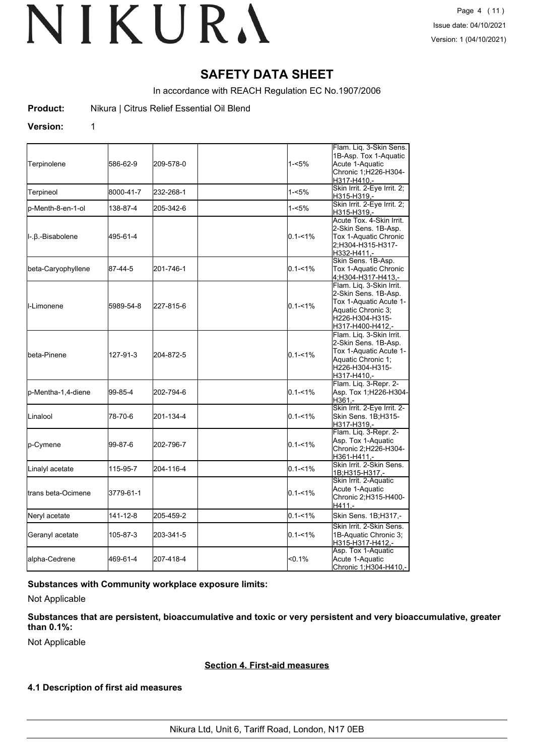## **SAFETY DATA SHEET**

In accordance with REACH Regulation EC No.1907/2006

**Product:** Nikura | Citrus Relief Essential Oil Blend

#### **Version:** 1

| Terpinolene                 | 586-62-9  | 209-578-0 | 1-<5%       | Flam. Liq. 3-Skin Sens.<br>1B-Asp. Tox 1-Aquatic<br>Acute 1-Aquatic<br>Chronic 1; H226-H304-<br>H317-H410.-                             |
|-----------------------------|-----------|-----------|-------------|-----------------------------------------------------------------------------------------------------------------------------------------|
| Terpineol                   | 8000-41-7 | 232-268-1 | $1 - 5%$    | Skin Irrit. 2-Eye Irrit. 2,<br>H315-H319,-                                                                                              |
| p-Menth-8-en-1-ol           | 138-87-4  | 205-342-6 | 1-<5%       | Skin Irrit. 2-Eye Irrit. 2:<br>H315-H319,-                                                                                              |
| l-.β.-Bisabolene            | 495-61-4  |           | $0.1 - 1\%$ | Acute Tox. 4-Skin Irrit.<br>2-Skin Sens. 1B-Asp.<br>Tox 1-Aquatic Chronic<br>2:H304-H315-H317-<br>H332-H411,-                           |
| beta-Caryophyllene          | 87-44-5   | 201-746-1 | $0.1 - 1\%$ | Skin Sens. 1B-Asp.<br>Tox 1-Aquatic Chronic<br>4;H304-H317-H413,-                                                                       |
| <b>I</b> I-Limonene         | 5989-54-8 | 227-815-6 | $0.1 - 1\%$ | Flam. Lig. 3-Skin Irrit.<br>2-Skin Sens. 1B-Asp.<br>Tox 1-Aquatic Acute 1-<br>Aquatic Chronic 3:<br>H226-H304-H315-<br>H317-H400-H412,- |
| <b>I</b> beta-Pinene        | 127-91-3  | 204-872-5 | $0.1 - 1\%$ | Flam. Lig. 3-Skin Irrit.<br>2-Skin Sens. 1B-Asp.<br>Tox 1-Aquatic Acute 1-<br>Aquatic Chronic 1;<br>H226-H304-H315-<br>H317-H410,-      |
| lp-Mentha-1,4-diene         | 99-85-4   | 202-794-6 | $0.1 - 1\%$ | Flam. Liq. 3-Repr. 2-<br>Asp. Tox 1;H226-H304-<br>H361,-                                                                                |
| Linalool                    | 78-70-6   | 201-134-4 | $0.1 - 1\%$ | Skin Irrit. 2-Eye Irrit. 2-<br>Skin Sens. 1B;H315-<br>H317-H319,-                                                                       |
| p-Cymene                    | 99-87-6   | 202-796-7 | $0.1 - 1\%$ | Flam. Liq. 3-Repr. 2-<br>Asp. Tox 1-Aquatic<br>Chronic 2;H226-H304-<br>H361-H411,-                                                      |
| Linalyl acetate             | 115-95-7  | 204-116-4 | $0.1 - 1\%$ | Skin Irrit. 2-Skin Sens.<br>1B;H315-H317,-                                                                                              |
| <b>I</b> trans beta-Ocimene | 3779-61-1 |           | $0.1 - 1\%$ | Skin Irrit. 2-Aquatic<br>Acute 1-Aquatic<br>Chronic 2; H315-H400-<br>$H411. -$                                                          |
| Neryl acetate               | 141-12-8  | 205-459-2 | $0.1 - 1\%$ | Skin Sens. 1B;H317,-                                                                                                                    |
| Geranyl acetate             | 105-87-3  | 203-341-5 | $0.1 - 1\%$ | Skin Irrit. 2-Skin Sens.<br>1B-Aquatic Chronic 3;<br>H315-H317-H412,-                                                                   |
| alpha-Cedrene               | 469-61-4  | 207-418-4 | $< 0.1\%$   | Asp. Tox 1-Aquatic<br>Acute 1-Aquatic<br>Chronic 1; H304-H410,-                                                                         |

#### **Substances with Community workplace exposure limits:**

Not Applicable

## **Substances that are persistent, bioaccumulative and toxic or very persistent and very bioaccumulative, greater than 0.1%:**

Not Applicable

#### **Section 4. First-aid measures**

## **4.1 Description of first aid measures**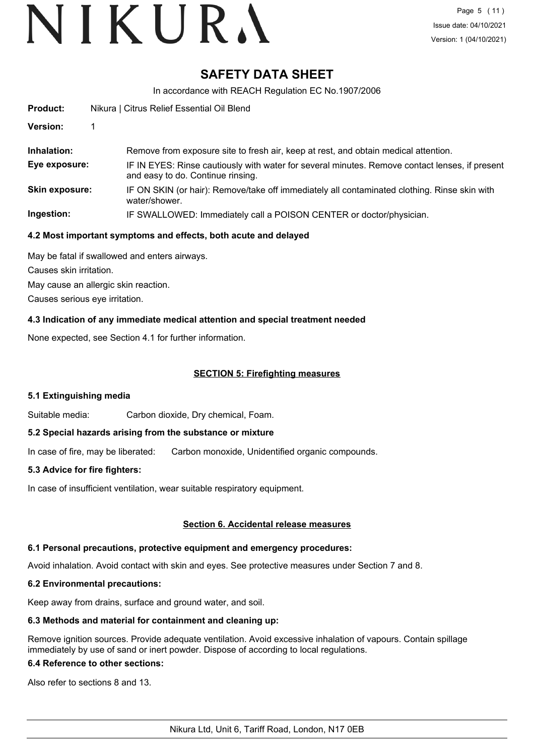# **SAFETY DATA SHEET**

In accordance with REACH Regulation EC No.1907/2006

| <b>Product:</b>       | Nikura   Citrus Relief Essential Oil Blend                                                                                          |  |  |
|-----------------------|-------------------------------------------------------------------------------------------------------------------------------------|--|--|
| Version:              |                                                                                                                                     |  |  |
| Inhalation:           | Remove from exposure site to fresh air, keep at rest, and obtain medical attention.                                                 |  |  |
| Eye exposure:         | IF IN EYES: Rinse cautiously with water for several minutes. Remove contact lenses, if present<br>and easy to do. Continue rinsing. |  |  |
| <b>Skin exposure:</b> | IF ON SKIN (or hair): Remove/take off immediately all contaminated clothing. Rinse skin with<br>water/shower.                       |  |  |
| Ingestion:            | IF SWALLOWED: Immediately call a POISON CENTER or doctor/physician.                                                                 |  |  |

### **4.2 Most important symptoms and effects, both acute and delayed**

May be fatal if swallowed and enters airways. Causes skin irritation.

May cause an allergic skin reaction.

Causes serious eye irritation.

## **4.3 Indication of any immediate medical attention and special treatment needed**

None expected, see Section 4.1 for further information.

## **SECTION 5: Firefighting measures**

#### **5.1 Extinguishing media**

Suitable media: Carbon dioxide, Dry chemical, Foam.

#### **5.2 Special hazards arising from the substance or mixture**

In case of fire, may be liberated: Carbon monoxide, Unidentified organic compounds.

#### **5.3 Advice for fire fighters:**

In case of insufficient ventilation, wear suitable respiratory equipment.

#### **Section 6. Accidental release measures**

#### **6.1 Personal precautions, protective equipment and emergency procedures:**

Avoid inhalation. Avoid contact with skin and eyes. See protective measures under Section 7 and 8.

#### **6.2 Environmental precautions:**

Keep away from drains, surface and ground water, and soil.

#### **6.3 Methods and material for containment and cleaning up:**

Remove ignition sources. Provide adequate ventilation. Avoid excessive inhalation of vapours. Contain spillage immediately by use of sand or inert powder. Dispose of according to local regulations.

### **6.4 Reference to other sections:**

Also refer to sections 8 and 13.

Nikura Ltd, Unit 6, Tariff Road, London, N17 0EB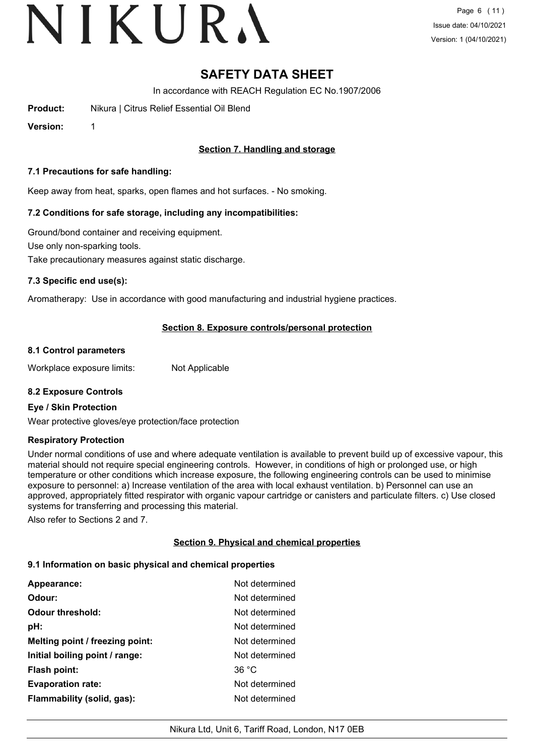# VIKURA

Page 6 (11) Issue date: 04/10/2021 Version: 1 (04/10/2021)

# **SAFETY DATA SHEET**

In accordance with REACH Regulation EC No.1907/2006

**Product:** Nikura | Citrus Relief Essential Oil Blend

**Version:** 1

## **Section 7. Handling and storage**

#### **7.1 Precautions for safe handling:**

Keep away from heat, sparks, open flames and hot surfaces. - No smoking.

### **7.2 Conditions for safe storage, including any incompatibilities:**

Ground/bond container and receiving equipment. Use only non-sparking tools. Take precautionary measures against static discharge.

### **7.3 Specific end use(s):**

Aromatherapy: Use in accordance with good manufacturing and industrial hygiene practices.

### **Section 8. Exposure controls/personal protection**

#### **8.1 Control parameters**

Workplace exposure limits: Not Applicable

#### **8.2 Exposure Controls**

#### **Eye / Skin Protection**

Wear protective gloves/eye protection/face protection

#### **Respiratory Protection**

Under normal conditions of use and where adequate ventilation is available to prevent build up of excessive vapour, this material should not require special engineering controls. However, in conditions of high or prolonged use, or high temperature or other conditions which increase exposure, the following engineering controls can be used to minimise exposure to personnel: a) Increase ventilation of the area with local exhaust ventilation. b) Personnel can use an approved, appropriately fitted respirator with organic vapour cartridge or canisters and particulate filters. c) Use closed systems for transferring and processing this material.

Also refer to Sections 2 and 7.

## **Section 9. Physical and chemical properties**

#### **9.1 Information on basic physical and chemical properties**

| <b>Appearance:</b>              | Not determined |
|---------------------------------|----------------|
| Odour:                          | Not determined |
| <b>Odour threshold:</b>         | Not determined |
| pH:                             | Not determined |
| Melting point / freezing point: | Not determined |
| Initial boiling point / range:  | Not determined |
| <b>Flash point:</b>             | 36 °C          |
| <b>Evaporation rate:</b>        | Not determined |
| Flammability (solid, gas):      | Not determined |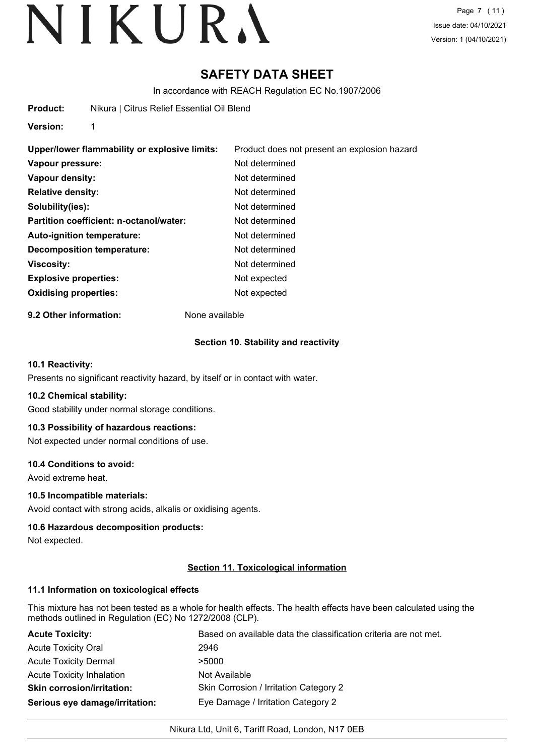Page 7 (11) Issue date: 04/10/2021 Version: 1 (04/10/2021)

# **SAFETY DATA SHEET**

In accordance with REACH Regulation EC No.1907/2006

**Version:** 1

| Upper/lower flammability or explosive limits: | Product does not present an explosion hazard |
|-----------------------------------------------|----------------------------------------------|
| Vapour pressure:                              | Not determined                               |
| Vapour density:                               | Not determined                               |
| <b>Relative density:</b>                      | Not determined                               |
| Solubility(ies):                              | Not determined                               |
| Partition coefficient: n-octanol/water:       | Not determined                               |
| Auto-ignition temperature:                    | Not determined                               |
| Decomposition temperature:                    | Not determined                               |
| <b>Viscosity:</b>                             | Not determined                               |
| <b>Explosive properties:</b>                  | Not expected                                 |
| <b>Oxidising properties:</b>                  | Not expected                                 |

**9.2 Other information:** None available

#### **Section 10. Stability and reactivity**

#### **10.1 Reactivity:**

Presents no significant reactivity hazard, by itself or in contact with water.

#### **10.2 Chemical stability:**

Good stability under normal storage conditions.

#### **10.3 Possibility of hazardous reactions:**

Not expected under normal conditions of use.

#### **10.4 Conditions to avoid:**

Avoid extreme heat.

### **10.5 Incompatible materials:**

Avoid contact with strong acids, alkalis or oxidising agents.

#### **10.6 Hazardous decomposition products:**

Not expected.

#### **Section 11. Toxicological information**

#### **11.1 Information on toxicological effects**

This mixture has not been tested as a whole for health effects. The health effects have been calculated using the methods outlined in Regulation (EC) No 1272/2008 (CLP).

| <b>Acute Toxicity:</b>            | Based on available data the classification criteria are not met. |
|-----------------------------------|------------------------------------------------------------------|
| <b>Acute Toxicity Oral</b>        | 2946                                                             |
| <b>Acute Toxicity Dermal</b>      | >5000                                                            |
| <b>Acute Toxicity Inhalation</b>  | Not Available                                                    |
| <b>Skin corrosion/irritation:</b> | Skin Corrosion / Irritation Category 2                           |
| Serious eye damage/irritation:    | Eye Damage / Irritation Category 2                               |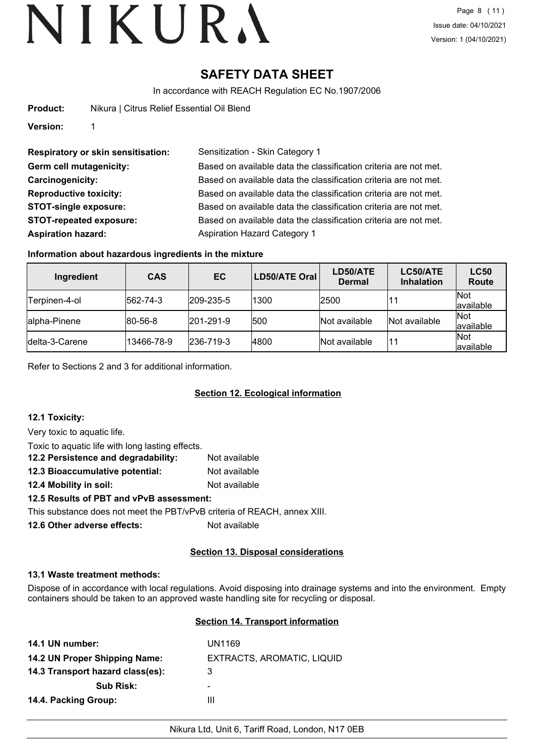# **SAFETY DATA SHEET**

In accordance with REACH Regulation EC No.1907/2006

**Product:** Nikura | Citrus Relief Essential Oil Blend

**Version:** 1

**Respiratory or skin sensitisation:** Sensitization - Skin Category 1 **Aspiration hazard:** Aspiration Hazard Category 1

**Germ cell mutagenicity:** Based on available data the classification criteria are not met. **Carcinogenicity:** Based on available data the classification criteria are not met. **Reproductive toxicity:** Based on available data the classification criteria are not met. **STOT-single exposure:** Based on available data the classification criteria are not met. **STOT-repeated exposure:** Based on available data the classification criteria are not met.

## **Information about hazardous ingredients in the mixture**

| Ingredient      | <b>CAS</b>       | EC                | LD50/ATE Oral | LD50/ATE<br><b>Dermal</b> | LC50/ATE<br><b>Inhalation</b> | <b>LC50</b><br><b>Route</b> |
|-----------------|------------------|-------------------|---------------|---------------------------|-------------------------------|-----------------------------|
| Terpinen-4-ol   | $ 562 - 74 - 3 $ | $ 209 - 235 - 5 $ | 1300          | 2500                      |                               | Not<br>available            |
| lalpha-Pinene   | $ 80 - 56 - 8 $  | $ 201 - 291 - 9 $ | 500           | Not available             | Not available                 | Not<br>available            |
| Idelta-3-Carene | 13466-78-9       | $ 236 - 719 - 3 $ | 4800          | Not available             | 11                            | Not<br>available            |

Refer to Sections 2 and 3 for additional information.

## **Section 12. Ecological information**

## **12.1 Toxicity:**

Very toxic to aquatic life.

| Toxic to aquatic life with long lasting effects. |               |  |  |
|--------------------------------------------------|---------------|--|--|
| 12.2 Persistence and degradability:              | Not available |  |  |
| 12.3 Bioaccumulative potential:                  | Not available |  |  |
| 12.4 Mobility in soil:                           | Not available |  |  |
| 12.5 Results of PBT and vPvB assessment:         |               |  |  |

This substance does not meet the PBT/vPvB criteria of REACH, annex XIII.

**12.6 Other adverse effects:** Not available

## **Section 13. Disposal considerations**

## **13.1 Waste treatment methods:**

Dispose of in accordance with local regulations. Avoid disposing into drainage systems and into the environment. Empty containers should be taken to an approved waste handling site for recycling or disposal.

## **Section 14. Transport information**

| UN1169                     |
|----------------------------|
| EXTRACTS, AROMATIC, LIQUID |
| 3                          |
| -                          |
| Ш                          |
|                            |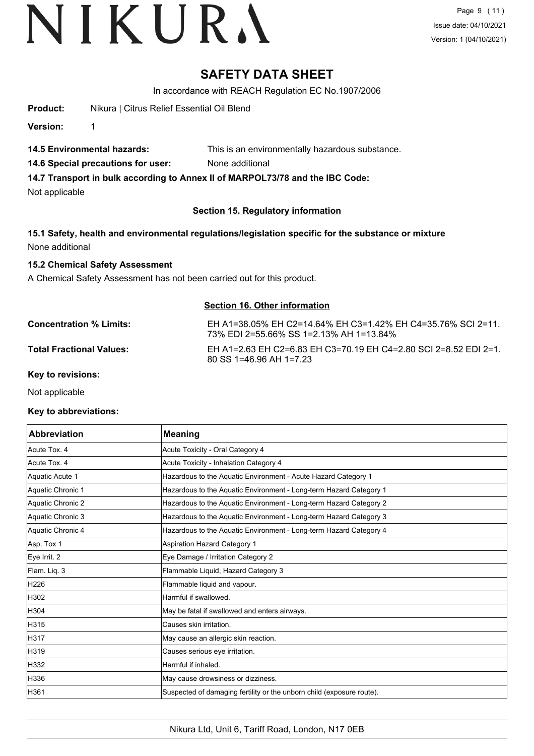# **SAFETY DATA SHEET**

In accordance with REACH Regulation EC No.1907/2006

**Product:** Nikura | Citrus Relief Essential Oil Blend

**Version:** 1

- **14.5 Environmental hazards:** This is an environmentally hazardous substance.
- **14.6 Special precautions for user:** None additional

**14.7 Transport in bulk according to Annex II of MARPOL73/78 and the IBC Code:**

Not applicable

### **Section 15. Regulatory information**

**15.1 Safety, health and environmental regulations/legislation specific for the substance or mixture** None additional

### **15.2 Chemical Safety Assessment**

A Chemical Safety Assessment has not been carried out for this product.

### **Section 16. Other information**

**Concentration % Limits:** EH A1=38.05% EH C2=14.64% EH C3=1.42% EH C4=35.76% SCI 2=11. 73% EDI 2=55.66% SS 1=2.13% AH 1=13.84% **Total Fractional Values:** EH A1=2.63 EH C2=6.83 EH C3=70.19 EH C4=2.80 SCI 2=8.52 EDI 2=1. 80 SS 1=46.96 AH 1=7.23

**Key to revisions:**

Not applicable

#### **Key to abbreviations:**

| Abbreviation      | <b>Meaning</b>                                                        |
|-------------------|-----------------------------------------------------------------------|
| Acute Tox. 4      | Acute Toxicity - Oral Category 4                                      |
| Acute Tox. 4      | Acute Toxicity - Inhalation Category 4                                |
| Aquatic Acute 1   | Hazardous to the Aquatic Environment - Acute Hazard Category 1        |
| Aquatic Chronic 1 | Hazardous to the Aquatic Environment - Long-term Hazard Category 1    |
| Aquatic Chronic 2 | Hazardous to the Aquatic Environment - Long-term Hazard Category 2    |
| Aquatic Chronic 3 | Hazardous to the Aquatic Environment - Long-term Hazard Category 3    |
| Aquatic Chronic 4 | Hazardous to the Aquatic Environment - Long-term Hazard Category 4    |
| Asp. Tox 1        | Aspiration Hazard Category 1                                          |
| Eye Irrit. 2      | Eye Damage / Irritation Category 2                                    |
| Flam. Liq. 3      | Flammable Liquid, Hazard Category 3                                   |
| H <sub>226</sub>  | Flammable liquid and vapour.                                          |
| H302              | Harmful if swallowed.                                                 |
| H304              | May be fatal if swallowed and enters airways.                         |
| H315              | Causes skin irritation.                                               |
| H317              | May cause an allergic skin reaction.                                  |
| H319              | Causes serious eye irritation.                                        |
| H332              | Harmful if inhaled.                                                   |
| H336              | May cause drowsiness or dizziness.                                    |
| H361              | Suspected of damaging fertility or the unborn child (exposure route). |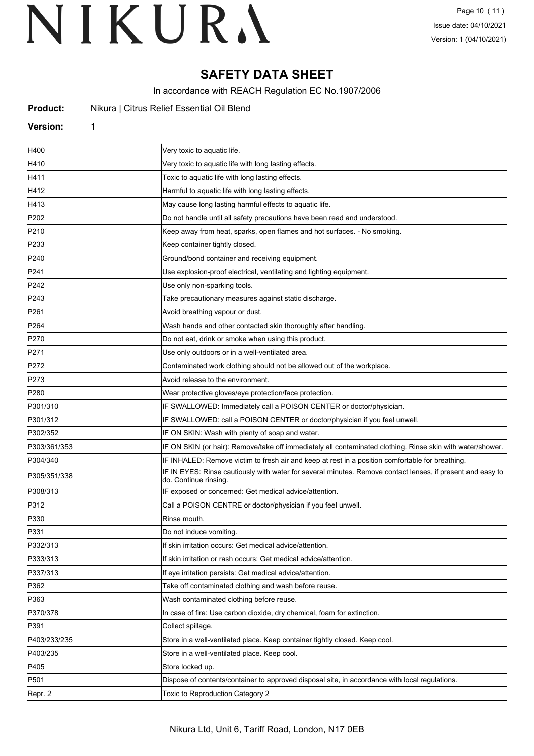# **SAFETY DATA SHEET**

In accordance with REACH Regulation EC No.1907/2006

| Product: |  |  |  | Nikura   Citrus Relief Essential Oil Blend |  |  |
|----------|--|--|--|--------------------------------------------|--|--|
|----------|--|--|--|--------------------------------------------|--|--|

#### **Version:** 1

| H400             | Very toxic to aquatic life.                                                                                                         |
|------------------|-------------------------------------------------------------------------------------------------------------------------------------|
| H410             | Very toxic to aquatic life with long lasting effects.                                                                               |
| H411             | Toxic to aquatic life with long lasting effects.                                                                                    |
| H412             | Harmful to aquatic life with long lasting effects.                                                                                  |
| H413             | May cause long lasting harmful effects to aquatic life.                                                                             |
| P202             | Do not handle until all safety precautions have been read and understood.                                                           |
| P210             | Keep away from heat, sparks, open flames and hot surfaces. - No smoking.                                                            |
| P233             | Keep container tightly closed.                                                                                                      |
| P240             | Ground/bond container and receiving equipment.                                                                                      |
| P241             | Use explosion-proof electrical, ventilating and lighting equipment.                                                                 |
| P242             | Use only non-sparking tools.                                                                                                        |
| P243             | Take precautionary measures against static discharge.                                                                               |
| P261             | Avoid breathing vapour or dust.                                                                                                     |
| P <sub>264</sub> | Wash hands and other contacted skin thoroughly after handling.                                                                      |
| P270             | Do not eat, drink or smoke when using this product.                                                                                 |
| P271             | Use only outdoors or in a well-ventilated area.                                                                                     |
| P272             | Contaminated work clothing should not be allowed out of the workplace.                                                              |
| P273             | Avoid release to the environment.                                                                                                   |
| P280             | Wear protective gloves/eye protection/face protection.                                                                              |
| P301/310         | IF SWALLOWED: Immediately call a POISON CENTER or doctor/physician.                                                                 |
| P301/312         | IF SWALLOWED: call a POISON CENTER or doctor/physician if you feel unwell.                                                          |
| P302/352         | IF ON SKIN: Wash with plenty of soap and water.                                                                                     |
| P303/361/353     | IF ON SKIN (or hair): Remove/take off immediately all contaminated clothing. Rinse skin with water/shower.                          |
| P304/340         | IF INHALED: Remove victim to fresh air and keep at rest in a position comfortable for breathing.                                    |
| P305/351/338     | IF IN EYES: Rinse cautiously with water for several minutes. Remove contact lenses, if present and easy to<br>do. Continue rinsing. |
| P308/313         | IF exposed or concerned: Get medical advice/attention.                                                                              |
| P312             | Call a POISON CENTRE or doctor/physician if you feel unwell.                                                                        |
| P330             | Rinse mouth.                                                                                                                        |
| P331             | Do not induce vomiting.                                                                                                             |
| P332/313         | If skin irritation occurs: Get medical advice/attention.                                                                            |
| P333/313         | If skin irritation or rash occurs: Get medical advice/attention.                                                                    |
| P337/313         | If eye irritation persists: Get medical advice/attention.                                                                           |
| P362             | Take off contaminated clothing and wash before reuse.                                                                               |
| P363             | Wash contaminated clothing before reuse.                                                                                            |
| P370/378         | In case of fire: Use carbon dioxide, dry chemical, foam for extinction.                                                             |
| P391             | Collect spillage.                                                                                                                   |
| P403/233/235     | Store in a well-ventilated place. Keep container tightly closed. Keep cool.                                                         |
| P403/235         | Store in a well-ventilated place. Keep cool.                                                                                        |
| P405             | Store locked up.                                                                                                                    |
| P501             | Dispose of contents/container to approved disposal site, in accordance with local regulations.                                      |
| Repr. 2          | Toxic to Reproduction Category 2                                                                                                    |